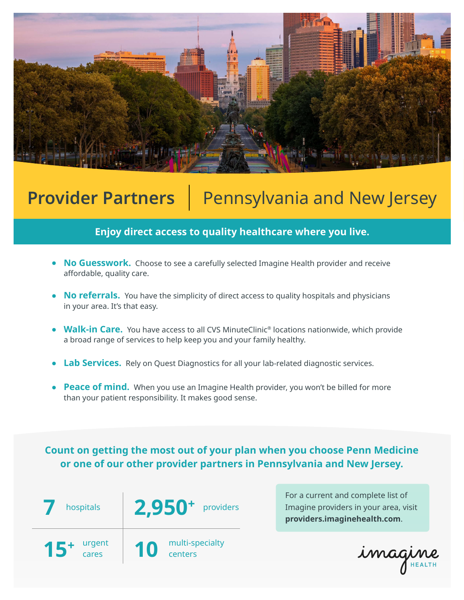

# **Provider Partners** | Pennsylvania and New Jersey

### **Enjoy direct access to quality healthcare where you live.**

- **No Guesswork.** Choose to see a carefully selected Imagine Health provider and receive affordable, quality care.
- **No referrals.** You have the simplicity of direct access to quality hospitals and physicians in your area. It's that easy.
- **Walk-in Care.** You have access to all CVS MinuteClinic<sup>®</sup> locations nationwide, which provide a broad range of services to help keep you and your family healthy.
- **Lab Services.** Rely on Quest Diagnostics for all your lab-related diagnostic services.
- **Peace of mind.** When you use an Imagine Health provider, you won't be billed for more than your patient responsibility. It makes good sense.

**Count on getting the most out of your plan when you choose Penn Medicine or one of our other provider partners in Pennsylvania and New Jersey.**



For a current and complete list of Imagine providers in your area, visit **providers.imaginehealth.com**.

imagine